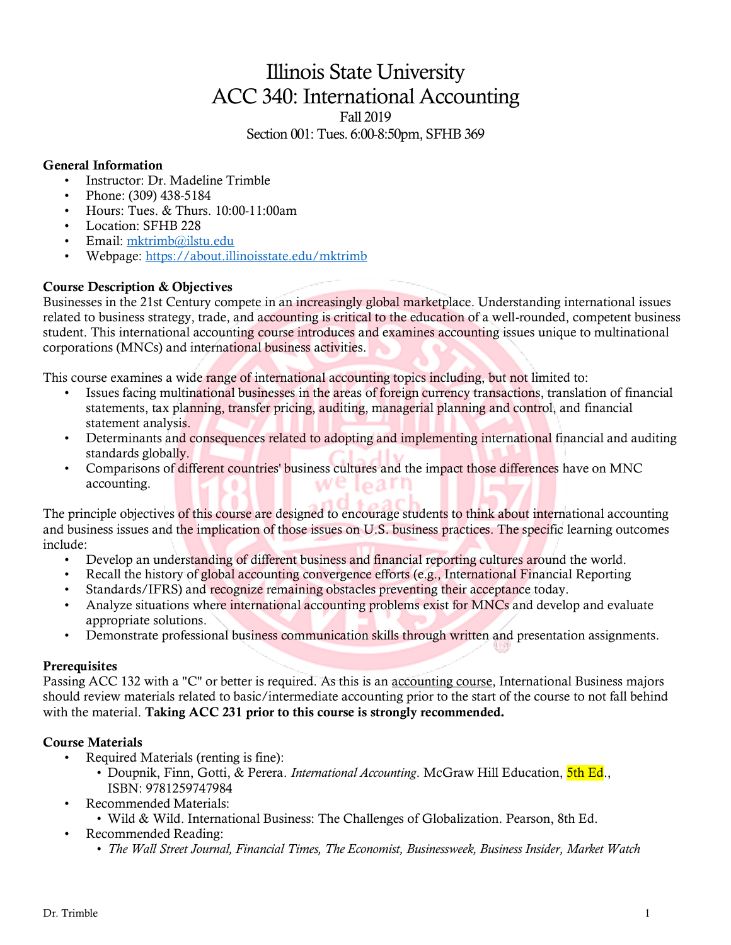# Illinois State University ACC 340: International Accounting

Fall 2019

Section 001: Tues. 6:00-8:50pm, SFHB 369

## General Information

- Instructor: Dr. Madeline Trimble
- Phone: (309) 438-5184
- Hours: Tues. & Thurs. 10:00-11:00am
- Location: SFHB 228
- Email: [mktrimb@ilstu.edu](mailto:mktrimb@ilstu.edu)
- Webpage[: https://about.illinoisstate.edu/mktrimb](https://about.illinoisstate.edu/mktrimb)

## Course Description & Objectives

Businesses in the 21st Century compete in an increasingly global marketplace. Understanding international issues related to business strategy, trade, and accounting is critical to the education of a well-rounded, competent business student. This international accounting course introduces and examines accounting issues unique to multinational corporations (MNCs) and international business activities.

This course examines a wide range of international accounting topics including, but not limited to:

- Issues facing multinational businesses in the areas of foreign currency transactions, translation of financial statements, tax planning, transfer pricing, auditing, managerial planning and control, and financial statement analysis.
- Determinants and consequences related to adopting and implementing international financial and auditing standards globally.
- Comparisons of different countries' business cultures and the impact those differences have on MNC accounting.

The principle objectives of this course are designed to encourage students to think about international accounting and business issues and the implication of those issues on U.S. business practices. The specific learning outcomes include:

- Develop an understanding of different business and financial reporting cultures around the world.
- Recall the history of global accounting convergence efforts (e.g., International Financial Reporting
- Standards/IFRS) and recognize remaining obstacles preventing their acceptance today.
- Analyze situations where international accounting problems exist for MNCs and develop and evaluate appropriate solutions.
- Demonstrate professional business communication skills through written and presentation assignments.

## **Prerequisites**

Passing ACC 132 with a "C" or better is required. As this is an accounting course, International Business majors should review materials related to basic/intermediate accounting prior to the start of the course to not fall behind with the material. Taking ACC 231 prior to this course is strongly recommended.

## Course Materials

- Required Materials (renting is fine):
	- Doupnik, Finn, Gotti, & Perera. *International Accounting*. McGraw Hill Education, 5th Ed., ISBN: 9781259747984
	- Recommended Materials:
		- Wild & Wild. International Business: The Challenges of Globalization. Pearson, 8th Ed.
- Recommended Reading:
	- *The Wall Street Journal, Financial Times, The Economist, Businessweek, Business Insider, Market Watch*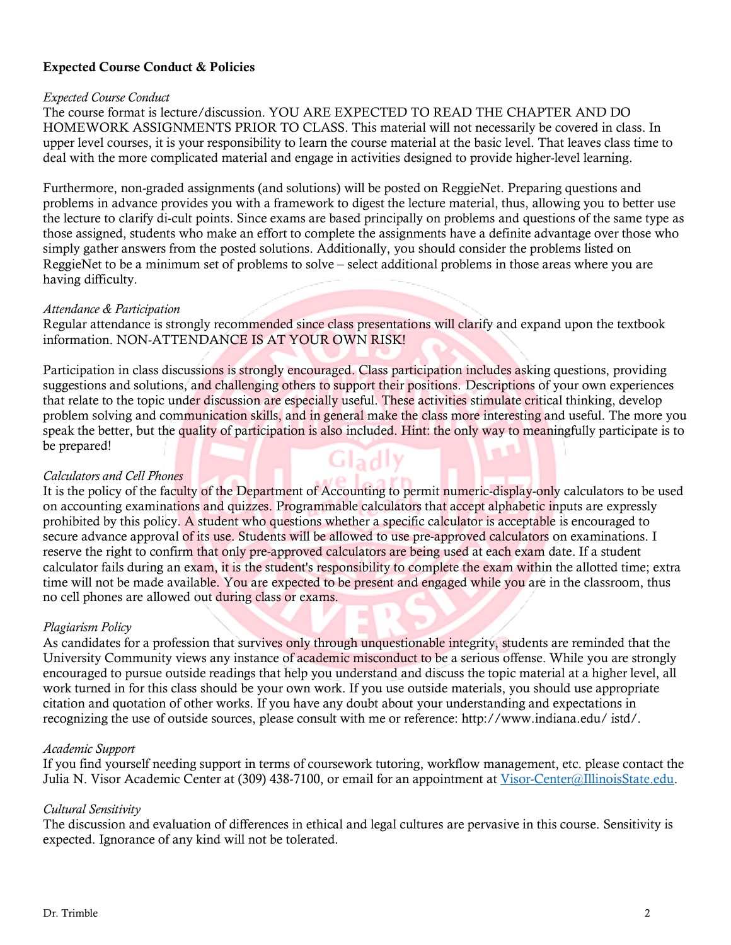## Expected Course Conduct & Policies

#### *Expected Course Conduct*

The course format is lecture/discussion. YOU ARE EXPECTED TO READ THE CHAPTER AND DO HOMEWORK ASSIGNMENTS PRIOR TO CLASS. This material will not necessarily be covered in class. In upper level courses, it is your responsibility to learn the course material at the basic level. That leaves class time to deal with the more complicated material and engage in activities designed to provide higher-level learning.

Furthermore, non-graded assignments (and solutions) will be posted on ReggieNet. Preparing questions and problems in advance provides you with a framework to digest the lecture material, thus, allowing you to better use the lecture to clarify di-cult points. Since exams are based principally on problems and questions of the same type as those assigned, students who make an effort to complete the assignments have a definite advantage over those who simply gather answers from the posted solutions. Additionally, you should consider the problems listed on ReggieNet to be a minimum set of problems to solve – select additional problems in those areas where you are having difficulty.

#### *Attendance & Participation*

Regular attendance is strongly recommended since class presentations will clarify and expand upon the textbook information. NON-ATTENDANCE IS AT YOUR OWN RISK!

Participation in class discussions is strongly encouraged. Class participation includes asking questions, providing suggestions and solutions, and challenging others to support their positions. Descriptions of your own experiences that relate to the topic under discussion are especially useful. These activities stimulate critical thinking, develop problem solving and communication skills, and in general make the class more interesting and useful. The more you speak the better, but the quality of participation is also included. Hint: the only way to meaningfully participate is to be prepared! Gladly

#### *Calculators and Cell Phones*

It is the policy of the faculty of the Department of Accounting to permit numeric-display-only calculators to be used on accounting examinations and quizzes. Programmable calculators that accept alphabetic inputs are expressly prohibited by this policy. A student who questions whether a specific calculator is acceptable is encouraged to secure advance approval of its use. Students will be allowed to use pre-approved calculators on examinations. I reserve the right to confirm that only pre-approved calculators are being used at each exam date. If a student calculator fails during an exam, it is the student's responsibility to complete the exam within the allotted time; extra time will not be made available. You are expected to be present and engaged while you are in the classroom, thus no cell phones are allowed out during class or exams.

#### *Plagiarism Policy*

As candidates for a profession that survives only through unquestionable integrity, students are reminded that the University Community views any instance of academic misconduct to be a serious offense. While you are strongly encouraged to pursue outside readings that help you understand and discuss the topic material at a higher level, all work turned in for this class should be your own work. If you use outside materials, you should use appropriate citation and quotation of other works. If you have any doubt about your understanding and expectations in recognizing the use of outside sources, please consult with me or reference: http://www.indiana.edu/ istd/.

#### *Academic Support*

If you find yourself needing support in terms of coursework tutoring, workflow management, etc. please contact the Julia N. Visor Academic Center at (309) 438-7100, or email for an appointment at [Visor-Center@IllinoisState.edu.](mailto:Visor-Center@IllinoisState.edu)

#### *Cultural Sensitivity*

The discussion and evaluation of differences in ethical and legal cultures are pervasive in this course. Sensitivity is expected. Ignorance of any kind will not be tolerated.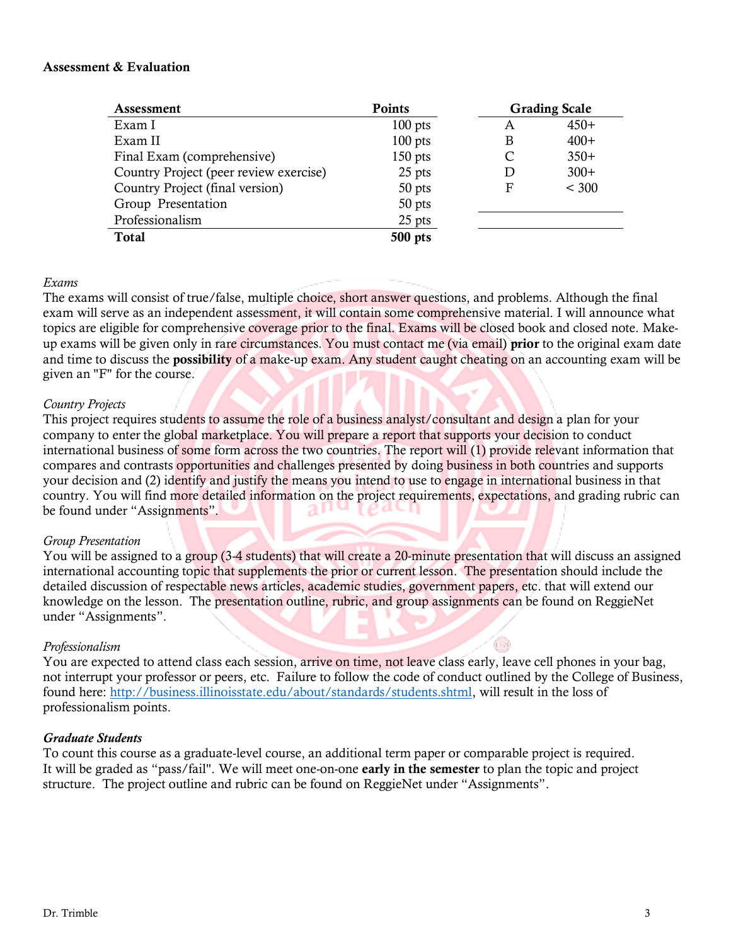#### Assessment & Evaluation

| Assessment                             | Points    |   | <b>Grading Scale</b> |
|----------------------------------------|-----------|---|----------------------|
| Exam I                                 | $100$ pts | A | $450+$               |
| Exam II                                | $100$ pts | В | $400+$               |
| Final Exam (comprehensive)             | $150$ pts | C | $350+$               |
| Country Project (peer review exercise) | 25 pts    | D | $300+$               |
| Country Project (final version)        | 50 pts    | F | < 300                |
| Group Presentation                     | 50 pts    |   |                      |
| Professionalism                        | 25 pts    |   |                      |
| <b>Total</b>                           | 500 pts   |   |                      |

#### *Exams*

The exams will consist of true/false, multiple choice, short answer questions, and problems. Although the final exam will serve as an independent assessment, it will contain some comprehensive material. I will announce what topics are eligible for comprehensive coverage prior to the final. Exams will be closed book and closed note. Makeup exams will be given only in rare circumstances. You must contact me (via email) prior to the original exam date and time to discuss the possibility of a make-up exam. Any student caught cheating on an accounting exam will be given an "F" for the course.

#### *Country Projects*

This project requires students to assume the role of a business analyst/consultant and design a plan for your company to enter the global marketplace. You will prepare a report that supports your decision to conduct international business of some form across the two countries. The report will (1) provide relevant information that compares and contrasts opportunities and challenges presented by doing business in both countries and supports your decision and (2) identify and justify the means you intend to use to engage in international business in that country. You will find more detailed information on the project requirements, expectations, and grading rubric can be found under "Assignments". ят

#### *Group Presentation*

You will be assigned to a group (3-4 students) that will create a 20-minute presentation that will discuss an assigned international accounting topic that supplements the prior or current lesson. The presentation should include the detailed discussion of respectable news articles, academic studies, government papers, etc. that will extend our knowledge on the lesson. The presentation outline, rubric, and group assignments can be found on ReggieNet under "Assignments".

#### *Professionalism*

You are expected to attend class each session, arrive on time, not leave class early, leave cell phones in your bag, not interrupt your professor or peers, etc. Failure to follow the code of conduct outlined by the College of Business, found here: [http://business.illinoisstate.edu/about/standards/students.shtml,](http://business.illinoisstate.edu/about/standards/students.shtml) will result in the loss of professionalism points.

#### *Graduate Students*

To count this course as a graduate-level course, an additional term paper or comparable project is required. It will be graded as "pass/fail". We will meet one-on-one early in the semester to plan the topic and project structure. The project outline and rubric can be found on ReggieNet under "Assignments".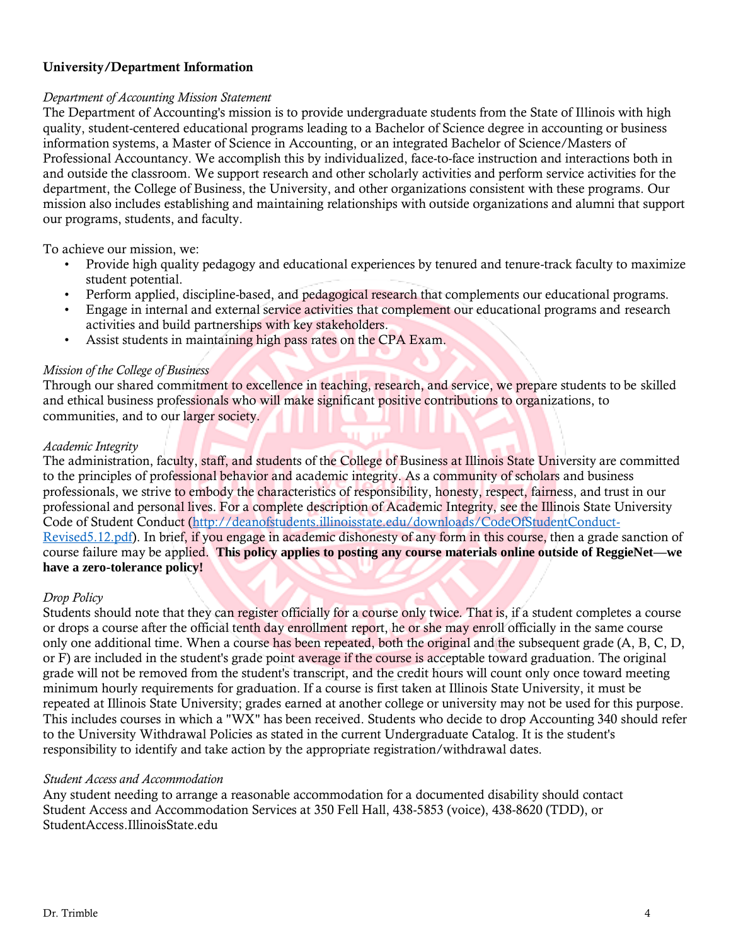## University/Department Information

#### *Department of Accounting Mission Statement*

The Department of Accounting's mission is to provide undergraduate students from the State of Illinois with high quality, student-centered educational programs leading to a Bachelor of Science degree in accounting or business information systems, a Master of Science in Accounting, or an integrated Bachelor of Science/Masters of Professional Accountancy. We accomplish this by individualized, face-to-face instruction and interactions both in and outside the classroom. We support research and other scholarly activities and perform service activities for the department, the College of Business, the University, and other organizations consistent with these programs. Our mission also includes establishing and maintaining relationships with outside organizations and alumni that support our programs, students, and faculty.

To achieve our mission, we:

- Provide high quality pedagogy and educational experiences by tenured and tenure-track faculty to maximize student potential.
- Perform applied, discipline-based, and pedagogical research that complements our educational programs.
- Engage in internal and external service activities that complement our educational programs and research activities and build partnerships with key stakeholders.
- Assist students in maintaining high pass rates on the CPA Exam.

#### *Mission of the College of Business*

Through our shared commitment to excellence in teaching, research, and service, we prepare students to be skilled and ethical business professionals who will make significant positive contributions to organizations, to communities, and to our larger society.

#### *Academic Integrity*

The administration, faculty, staff, and students of the College of Business at Illinois State University are committed to the principles of professional behavior and academic integrity. As a community of scholars and business professionals, we strive to embody the characteristics of responsibility, honesty, respect, fairness, and trust in our professional and personal lives. For a complete description of Academic Integrity, see the Illinois State University Code of Student Conduct [\(http://deanofstudents.illinoisstate.edu/downloads/CodeOfStudentConduct-](http://deanofstudents.illinoisstate.edu/downloads/CodeOfStudentConduct-Revised5.12.pdf)[Revised5.12.pdf\)](http://deanofstudents.illinoisstate.edu/downloads/CodeOfStudentConduct-Revised5.12.pdf). In brief, if you engage in academic dishonesty of any form in this course, then a grade sanction of course failure may be applied. **This policy applies to posting any course materials online outside of ReggieNet—we have a zero-tolerance policy!**

#### *Drop Policy*

Students should note that they can register officially for a course only twice. That is, if a student completes a course or drops a course after the official tenth day enrollment report, he or she may enroll officially in the same course only one additional time. When a course has been repeated, both the original and the subsequent grade (A, B, C, D, or F) are included in the student's grade point average if the course is acceptable toward graduation. The original grade will not be removed from the student's transcript, and the credit hours will count only once toward meeting minimum hourly requirements for graduation. If a course is first taken at Illinois State University, it must be repeated at Illinois State University; grades earned at another college or university may not be used for this purpose. This includes courses in which a "WX" has been received. Students who decide to drop Accounting 340 should refer to the University Withdrawal Policies as stated in the current Undergraduate Catalog. It is the student's responsibility to identify and take action by the appropriate registration/withdrawal dates.

#### *Student Access and Accommodation*

Any student needing to arrange a reasonable accommodation for a documented disability should contact Student Access and Accommodation Services at 350 Fell Hall, 438-5853 (voice), 438-8620 (TDD), or StudentAccess.IllinoisState.edu